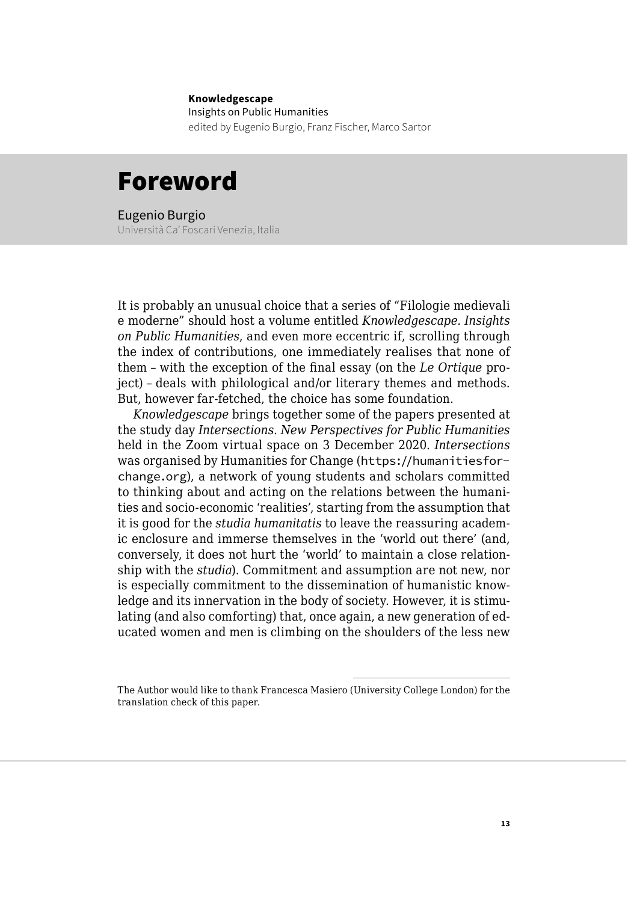## **Knowledgescape** Insights on Public Humanities edited by Eugenio Burgio, Franz Fischer, Marco Sartor

## Foreword

Eugenio Burgio Università Ca' Foscari Venezia, Italia

It is probably an unusual choice that a series of "Filologie medievali e moderne" should host a volume entitled *Knowledgescape. Insights on Public Humanities*, and even more eccentric if, scrolling through the index of contributions, one immediately realises that none of them – with the exception of the final essay (on the *Le Ortique* project) – deals with philological and/or literary themes and methods. But, however far-fetched, the choice has some foundation.

*Knowledgescape* brings together some of the papers presented at the study day *Intersections. New Perspectives for Public Humanities* held in the Zoom virtual space on 3 December 2020. *Intersections* was organised by Humanities for Change ([https://humanitiesfor](https://humanitiesforchange.org/)[change.org](https://humanitiesforchange.org/)), a network of young students and scholars committed to thinking about and acting on the relations between the humanities and socio-economic 'realities', starting from the assumption that it is good for the *studia humanitatis* to leave the reassuring academic enclosure and immerse themselves in the 'world out there' (and, conversely, it does not hurt the 'world' to maintain a close relationship with the *studia*). Commitment and assumption are not new, nor is especially commitment to the dissemination of humanistic knowledge and its innervation in the body of society. However, it is stimulating (and also comforting) that, once again, a new generation of educated women and men is climbing on the shoulders of the less new

The Author would like to thank Francesca Masiero (University College London) for the translation check of this paper.